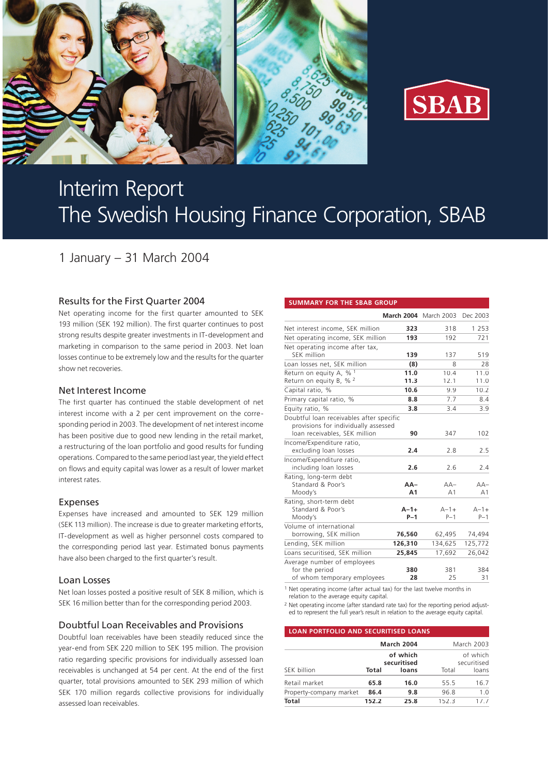



# Interim Report The Swedish Housing Finance Corporation, SBAB

1 January – 31 March 2004

# Results for the First Quarter 2004

Net operating income for the first quarter amounted to SEK 193 million (SEK 192 million). The first quarter continues to post strong results despite greater investments in IT-development and marketing in comparison to the same period in 2003. Net loan losses continue to be extremely low and the results for the quarter show net recoveries.

# Net Interest Income

The first quarter has continued the stable development of net interest income with a 2 per cent improvement on the corresponding period in 2003. The development of net interest income has been positive due to good new lending in the retail market, a restructuring of the loan portfolio and good results for funding operations. Compared to the same period last year, the yield effect on flows and equity capital was lower as a result of lower market interest rates.

# Expenses

Expenses have increased and amounted to SEK 129 million (SEK 113 million). The increase is due to greater marketing efforts, IT-development as well as higher personnel costs compared to the corresponding period last year. Estimated bonus payments have also been charged to the first quarter's result.

### Loan Losses

Net loan losses posted a positive result of SEK 8 million, which is SEK 16 million better than for the corresponding period 2003.

# Doubtful Loan Receivables and Provisions

Doubtful loan receivables have been steadily reduced since the year-end from SEK 220 million to SEK 195 million. The provision ratio regarding specific provisions for individually assessed loan receivables is unchanged at 54 per cent. At the end of the first quarter, total provisions amounted to SEK 293 million of which SEK 170 million regards collective provisions for individually assessed loan receivables.

#### **SUMMARY FOR THE SBAB GROUP**

|                                                                                                                   |         | <b>March 2004</b> March 2003 Dec 2003 |           |
|-------------------------------------------------------------------------------------------------------------------|---------|---------------------------------------|-----------|
| Net interest income, SEK million                                                                                  | 323     | 318                                   | 1 2 5 3   |
| Net operating income, SEK million                                                                                 | 193     | 192                                   | 721       |
| Net operating income after tax,                                                                                   |         |                                       |           |
| <b>SFK</b> million                                                                                                | 139     | 137                                   | 519       |
| Loan losses net, SEK million                                                                                      | (8)     | 8                                     | 28        |
| Return on equity A, $%$ <sup>1</sup>                                                                              | 11.0    | 10.4                                  | 11.0      |
| Return on equity B, % $^2$                                                                                        | 11.3    | 12.1                                  | 11.0      |
| Capital ratio, %                                                                                                  | 10.6    | 9.9                                   | 10.2      |
| Primary capital ratio, %                                                                                          | 8.8     | 7.7                                   | 8.4       |
| Equity ratio, %                                                                                                   | 3.8     | 3.4                                   | 3.9       |
| Doubtful loan receivables after specific<br>provisions for individually assessed<br>loan receivables, SEK million | 90      | 347                                   | 102       |
| Income/Expenditure ratio,                                                                                         |         |                                       |           |
| excluding loan losses                                                                                             | 2.4     | 2.8                                   | 2.5       |
| Income/Expenditure ratio,                                                                                         |         |                                       |           |
| including loan losses                                                                                             | 2.6     | 2.6                                   | 2.4       |
| Rating, long-term debt<br>Standard & Poor's                                                                       | $AA-$   | $AA-$                                 | $AA-$     |
| Moody's                                                                                                           | A1      | A <sub>1</sub>                        | A1        |
| Rating, short-term debt                                                                                           |         |                                       |           |
| Standard & Poor's                                                                                                 | $A-1+$  | $A - 1 +$                             | $A - 1 +$ |
| Moody's                                                                                                           | $P-1$   | $P-1$                                 | $P-1$     |
| Volume of international                                                                                           |         |                                       |           |
| borrowing, SEK million                                                                                            | 76,560  | 62,495                                | 74,494    |
| Lending, SEK million                                                                                              | 126,310 | 134,625                               | 125,772   |
| Loans securitised, SEK million                                                                                    | 25,845  | 17,692                                | 26,042    |
| Average number of employees                                                                                       |         |                                       |           |
| for the period                                                                                                    | 380     | 381                                   | 384       |
| of whom temporary employees                                                                                       | 28      | 25                                    | 31        |

1 Net operating income (after actual tax) for the last twelve months in relation to the average equity capital.

<sup>2</sup> Net operating income (after standard rate tax) for the reporting period adjusted to represent the full year's result in relation to the average equity capital.

#### **LOAN PORTFOLIO AND SECURITISED LOANS**

|                         | <b>March 2004</b> |                                  |       | March 2003                       |  |
|-------------------------|-------------------|----------------------------------|-------|----------------------------------|--|
| SEK billion<br>Total    |                   | of which<br>securitised<br>loans | Total | of which<br>securitised<br>loans |  |
| Retail market           | 65.8              | 16.0                             | 55.5  | 16.7                             |  |
| Property-company market | 86.4              | 9.8                              | 96.8  |                                  |  |
| <b>Total</b>            | 152.2             | 25.8                             | 1523  | 17 7                             |  |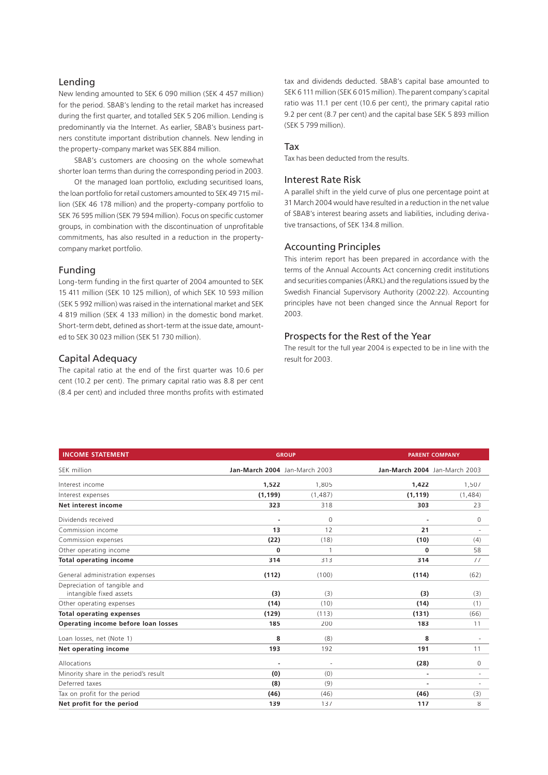# Lending

New lending amounted to SEK 6 090 million (SEK 4 457 million) for the period. SBAB's lending to the retail market has increased during the first quarter, and totalled SEK 5 206 million. Lending is predominantly via the Internet. As earlier, SBAB's business partners constitute important distribution channels. New lending in the property-company market was SEK 884 million.

SBAB's customers are choosing on the whole somewhat shorter loan terms than during the corresponding period in 2003.

Of the managed loan portfolio, excluding securitised loans, the loan portfolio for retail customers amounted to SEK 49 715 million (SEK 46 178 million) and the property-company portfolio to SEK 76 595 million (SEK 79 594 million). Focus on specific customer groups, in combination with the discontinuation of unprofitable commitments, has also resulted in a reduction in the propertycompany market portfolio.

### Funding

Long-term funding in the first quarter of 2004 amounted to SEK 15 411 million (SEK 10 125 million), of which SEK 10 593 million (SEK 5 992 million) was raised in the international market and SEK 4 819 million (SEK 4 133 million) in the domestic bond market. Short-term debt, defined as short-term at the issue date, amounted to SEK 30 023 million (SEK 51 730 million).

# Capital Adequacy

The capital ratio at the end of the first quarter was 10.6 per cent (10.2 per cent). The primary capital ratio was 8.8 per cent (8.4 per cent) and included three months profits with estimated tax and dividends deducted. SBAB's capital base amounted to SEK 6 111 million (SEK 6 015 million). The parent company's capital ratio was 11.1 per cent (10.6 per cent), the primary capital ratio 9.2 per cent (8.7 per cent) and the capital base SEK 5 893 million (SEK 5 799 million).

#### Tax

Tax has been deducted from the results.

# Interest Rate Risk

A parallel shift in the yield curve of plus one percentage point at 31 March 2004 would have resulted in a reduction in the net value of SBAB's interest bearing assets and liabilities, including derivative transactions, of SEK 134.8 million.

#### Accounting Principles

This interim report has been prepared in accordance with the terms of the Annual Accounts Act concerning credit institutions and securities companies (ÅRKL) and the regulations issued by the Swedish Financial Supervisory Authority (2002:22). Accounting principles have not been changed since the Annual Report for 2003.

# Prospects for the Rest of the Year

The result for the full year 2004 is expected to be in line with the result for 2003.

| <b>INCOME STATEMENT</b>               |                               | <b>GROUP</b> |                               | <b>PARENT COMPANY</b> |  |
|---------------------------------------|-------------------------------|--------------|-------------------------------|-----------------------|--|
| SEK million                           | Jan-March 2004 Jan-March 2003 |              | Jan-March 2004 Jan-March 2003 |                       |  |
| Interest income                       | 1,522                         | 1,805        | 1,422                         | 1,507                 |  |
| Interest expenses                     | (1, 199)                      | (1, 487)     | (1, 119)                      | (1,484)               |  |
| Net interest income                   | 323                           | 318          | 303                           | 23                    |  |
| Dividends received                    |                               | 0            |                               | 0                     |  |
| Commission income                     | 13                            | 12           | 21                            |                       |  |
| Commission expenses                   | (22)                          | (18)         | (10)                          | (4)                   |  |
| Other operating income                | $\bf{0}$                      |              | 0                             | 58                    |  |
| <b>Total operating income</b>         | 314                           | 313          | 314                           | 77                    |  |
| General administration expenses       | (112)                         | (100)        | (114)                         | (62)                  |  |
| Depreciation of tangible and          |                               |              |                               |                       |  |
| intangible fixed assets               | (3)                           | (3)          | (3)                           | (3)                   |  |
| Other operating expenses              | (14)                          | (10)         | (14)                          | (1)                   |  |
| <b>Total operating expenses</b>       | (129)                         | (113)        | (131)                         | (66)                  |  |
| Operating income before loan losses   | 185                           | 200          | 183                           | 11                    |  |
| Loan losses, net (Note 1)             | 8                             | (8)          | 8                             |                       |  |
| Net operating income                  | 193                           | 192          | 191                           | 11                    |  |
| Allocations                           |                               |              | (28)                          | 0                     |  |
| Minority share in the period's result | (0)                           | (0)          | ۰                             | $\sim$                |  |
| Deferred taxes                        | (8)                           | (9)          | ÷                             | $\sim$                |  |
| Tax on profit for the period          | (46)                          | (46)         | (46)                          | (3)                   |  |
| Net profit for the period             | 139                           | 137          | 117                           | 8                     |  |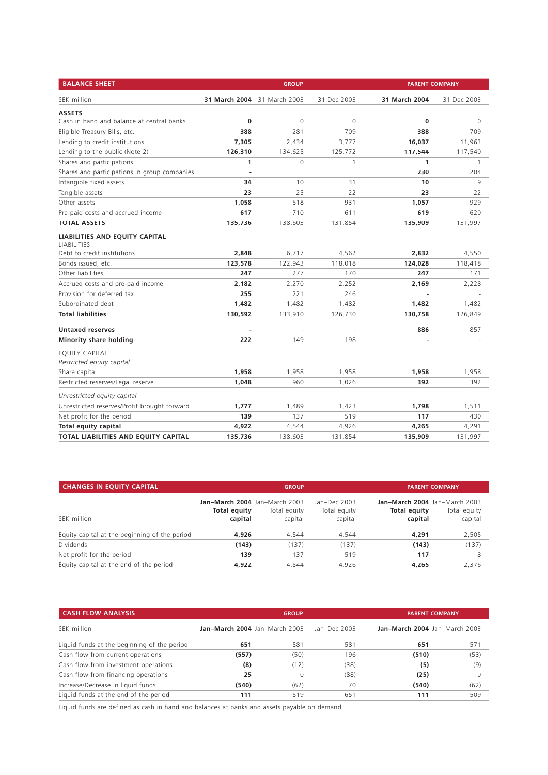| <b>BALANCE SHEET</b>                                 |                             | <b>GROUP</b>   |             | <b>PARENT COMPANY</b> |             |
|------------------------------------------------------|-----------------------------|----------------|-------------|-----------------------|-------------|
| SEK million                                          | 31 March 2004 31 March 2003 |                | 31 Dec 2003 | 31 March 2004         | 31 Dec 2003 |
| <b>ASSETS</b>                                        |                             |                |             |                       |             |
| Cash in hand and balance at central banks            | 0                           | $\overline{0}$ | $\circ$     | 0                     | 0           |
| Eligible Treasury Bills, etc.                        | 388                         | 281            | 709         | 388                   | 709         |
| Lending to credit institutions                       | 7,305                       | 2,434          | 3,777       | 16,037                | 11,963      |
| Lending to the public (Note 2)                       | 126,310                     | 134,625        | 125,772     | 117,544               | 117,540     |
| Shares and participations                            | 1                           | 0              | 1           | 1                     | 1           |
| Shares and participations in group companies         | $\overline{\phantom{a}}$    | $\sim$         | ä,          | 230                   | 204         |
| Intangible fixed assets                              | 34                          | 10             | 31          | 10                    | 9           |
| Tangible assets                                      | 23                          | 25             | 22          | 23                    | 22          |
| Other assets                                         | 1,058                       | 518            | 931         | 1,057                 | 929         |
| Pre-paid costs and accrued income                    | 617                         | 710            | 611         | 619                   | 620         |
| <b>TOTAL ASSETS</b>                                  | 135,736                     | 138,603        | 131,854     | 135,909               | 131,997     |
| LIABILITIES AND EQUITY CAPITAL<br><b>LIABILITIES</b> |                             |                |             |                       |             |
| Debt to credit institutions                          | 2,848                       | 6,717          | 4,562       | 2,832                 | 4,550       |
| Bonds issued, etc.                                   | 123,578                     | 122,943        | 118,018     | 124,028               | 118,418     |
| Other liabilities                                    | 247                         | 277            | 170         | 247                   | 171         |
| Accrued costs and pre-paid income                    | 2,182                       | 2,270          | 2,252       | 2,169                 | 2,228       |
| Provision for deferred tax                           | 255                         | 221            | 246         |                       |             |
| Subordinated debt                                    | 1,482                       | 1,482          | 1,482       | 1,482                 | 1,482       |
| <b>Total liabilities</b>                             | 130,592                     | 133,910        | 126,730     | 130,758               | 126,849     |
| <b>Untaxed reserves</b>                              |                             |                |             | 886                   | 857         |
| <b>Minority share holding</b>                        | 222                         | 149            | 198         | ÷,                    |             |
| <b>EOUITY CAPITAL</b><br>Restricted equity capital   |                             |                |             |                       |             |
| Share capital                                        | 1,958                       | 1,958          | 1,958       | 1,958                 | 1,958       |
| Restricted reserves/Legal reserve                    | 1,048                       | 960            | 1,026       | 392                   | 392         |
| Unrestricted equity capital                          |                             |                |             |                       |             |
| Unrestricted reserves/Profit brought forward         | 1,777                       | 1,489          | 1,423       | 1,798                 | 1,511       |
| Net profit for the period                            | 139                         | 137            | 519         | 117                   | 430         |
| Total equity capital                                 | 4,922                       | 4,544          | 4,926       | 4,265                 | 4,291       |
| TOTAL LIABILITIES AND EQUITY CAPITAL                 | 135,736                     | 138,603        | 131,854     | 135,909               | 131,997     |

| <b>CHANGES IN EQUITY CAPITAL</b>              | <b>GROUP</b>                                             |                         |                                         | <b>PARENT COMPANY.</b>                                          |                         |  |
|-----------------------------------------------|----------------------------------------------------------|-------------------------|-----------------------------------------|-----------------------------------------------------------------|-------------------------|--|
| SEK million                                   | Jan-March 2004 Jan-March 2003<br>Total equity<br>capital | Total equity<br>capital | Jan-Dec 2003<br>Total equity<br>capital | Jan-March 2004 Jan-March 2003<br><b>Total equity</b><br>capital | Total equity<br>capital |  |
| Equity capital at the beginning of the period | 4.926                                                    | 4.544                   | 4.544                                   | 4,291                                                           | 2,505                   |  |
| Dividends                                     | (143)                                                    | (137)                   | (137)                                   | (143)                                                           | (137)                   |  |
| Net profit for the period                     | 139                                                      | 137                     | 519                                     | 117                                                             | 8                       |  |
| Equity capital at the end of the period       | 4.922                                                    | 4.544                   | 4.926                                   | 4.265                                                           | 2.376                   |  |

| <b>CASH FLOW ANALYSIS</b>                   |                               | <b>GROUP</b><br><b>PARENT COMPANY</b> |              |                               |      |
|---------------------------------------------|-------------------------------|---------------------------------------|--------------|-------------------------------|------|
| SEK million                                 | Jan-March 2004 Jan-March 2003 |                                       | Jan-Dec 2003 | Jan-March 2004 Jan-March 2003 |      |
| Liquid funds at the beginning of the period | 651                           | 581                                   | 581          | 651                           | 571  |
| Cash flow from current operations           | (557)                         | (50)                                  | 196          | (510)                         | (53) |
| Cash flow from investment operations        | (8)                           | (12)                                  | (38)         | (5)                           | (9)  |
| Cash flow from financing operations         | 25                            |                                       | (88)         | (25)                          |      |
| Increase/Decrease in liquid funds           | (540)                         | (62)                                  | 70           | (540)                         | (62) |
| Liquid funds at the end of the period       | 111                           | 519                                   | 651          | 111                           | 509  |

Liquid funds are defined as cash in hand and balances at banks and assets payable on demand.